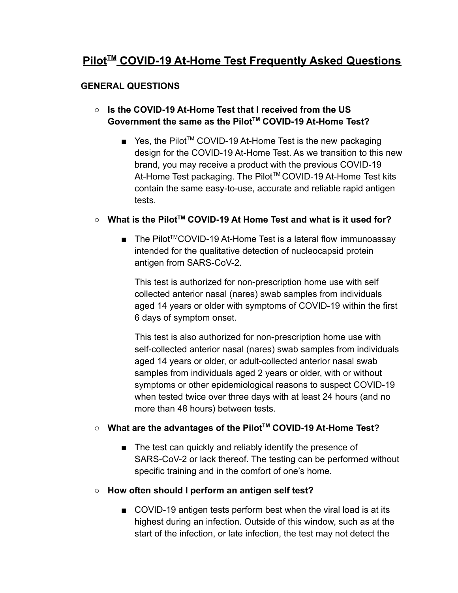# **Pilot<sup>™</sup> COVID-19 At-Home Test Frequently Asked Questions**

# **GENERAL QUESTIONS**

# **○ Is the COVID-19 At-Home Test that I received from the US Government the same as the PilotTM COVID-19 At-Home Test?**

■ Yes, the Pilot<sup>™</sup> COVID-19 At-Home Test is the new packaging design for the COVID-19 At-Home Test. As we transition to this new brand, you may receive a product with the previous COVID-19 At-Home Test packaging. The Pilot™ COVID-19 At-Home Test kits contain the same easy-to-use, accurate and reliable rapid antigen tests.

# **○ What is the PilotTM COVID-19 At Home Test and what is it used for?**

■ The Pilot<sup>™</sup>COVID-19 At-Home Test is a lateral flow immunoassay intended for the qualitative detection of nucleocapsid protein antigen from SARS-CoV-2.

This test is authorized for non-prescription home use with self collected anterior nasal (nares) swab samples from individuals aged 14 years or older with symptoms of COVID-19 within the first 6 days of symptom onset.

This test is also authorized for non-prescription home use with self-collected anterior nasal (nares) swab samples from individuals aged 14 years or older, or adult-collected anterior nasal swab samples from individuals aged 2 years or older, with or without symptoms or other epidemiological reasons to suspect COVID-19 when tested twice over three days with at least 24 hours (and no more than 48 hours) between tests.

## **○ What are the advantages of the PilotTM COVID-19 At-Home Test?**

■ The test can quickly and reliably identify the presence of SARS-CoV-2 or lack thereof. The testing can be performed without specific training and in the comfort of one's home.

## **○ How often should I perform an antigen self test?**

■ COVID-19 antigen tests perform best when the viral load is at its highest during an infection. Outside of this window, such as at the start of the infection, or late infection, the test may not detect the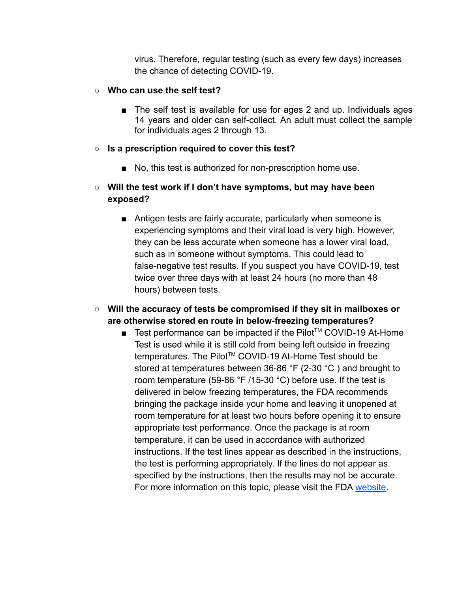virus. Therefore, regular testing (such as every few days) increases the chance of detecting COVID-19.

#### **○ Who can use the self test?**

■ The self test is available for use for ages 2 and up. Individuals ages 14 years and older can self-collect. An adult must collect the sample for individuals ages 2 through 13.

#### **○ Is a prescription required to cover this test?**

■ No, this test is authorized for non-prescription home use.

# **○ Will the test work if I don't have symptoms, but may have been exposed?**

■ Antigen tests are fairly accurate, particularly when someone is experiencing symptoms and their viral load is very high. However, they can be less accurate when someone has a lower viral load, such as in someone without symptoms. This could lead to false-negative test results. If you suspect you have COVID-19, test twice over three days with at least 24 hours (no more than 48 hours) between tests.

# **○ Will the accuracy of tests be compromised if they sit in mailboxes or are otherwise stored en route in below-freezing temperatures?**

■ Test performance can be impacted if the Pilot<sup>™</sup> COVID-19 At-Home Test is used while it is still cold from being left outside in freezing temperatures. The Pilot<sup>™</sup> COVID-19 At-Home Test should be stored at temperatures between 36-86 °F (2-30 °C ) and brought to room temperature (59-86 °F /15-30 °C) before use. If the test is delivered in below freezing temperatures, the FDA recommends bringing the package inside your home and leaving it unopened at room temperature for at least two hours before opening it to ensure appropriate test performance. Once the package is at room temperature, it can be used in accordance with authorized instructions. If the test lines appear as described in the instructions, the test is performing appropriately. If the lines do not appear as specified by the instructions, then the results may not be accurate. For more information on this topic, please visit the FDA [website](https://www.fda.gov/medical-devices/coronavirus-covid-19-and-medical-devices/home-covid-19-diagnostic-tests-frequently-asked-questions).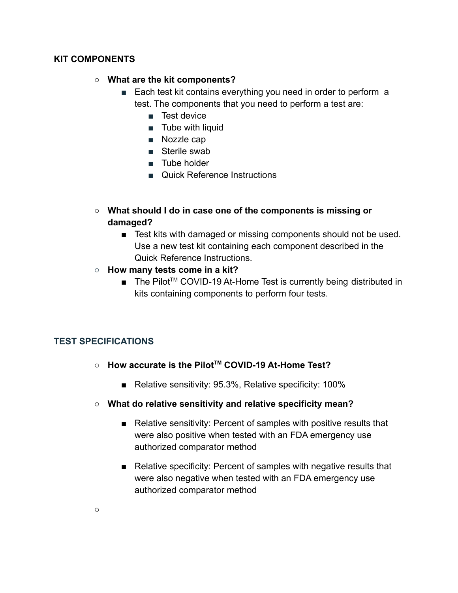#### **KIT COMPONENTS**

#### **○ What are the kit components?**

- Each test kit contains everything you need in order to perform a test. The components that you need to perform a test are:
	- *■* Test device
	- *■* Tube with liquid
	- *■* Nozzle cap
	- *■* Sterile swab
	- *■* Tube holder
	- Quick Reference Instructions
- **○ What should I do in case one of the components is missing or damaged?**
	- Test kits with damaged or missing components should not be used. Use a new test kit containing each component described in the Quick Reference Instructions.
- **How many tests come in a kit?**
	- The Pilot<sup>™</sup> COVID-19 At-Home Test is currently being distributed in kits containing components to perform four tests.

## **TEST SPECIFICATIONS**

- **○ How accurate is the PilotTM COVID-19 At-Home Test?**
	- Relative sensitivity: 95.3%, Relative specificity: 100%
- **○ What do relative sensitivity and relative specificity mean?**
	- Relative sensitivity: Percent of samples with positive results that were also positive when tested with an FDA emergency use authorized comparator method
	- Relative specificity: Percent of samples with negative results that were also negative when tested with an FDA emergency use authorized comparator method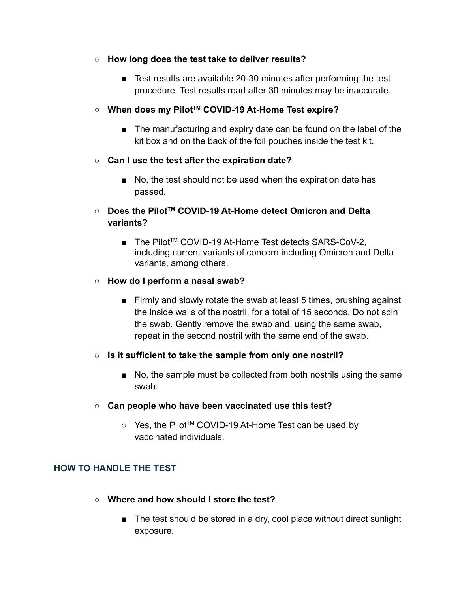- **○ How long does the test take to deliver results?**
	- Test results are available 20-30 minutes after performing the test procedure. Test results read after 30 minutes may be inaccurate.
- **○ When does my PilotTM COVID-19 At-Home Test expire?**
	- The manufacturing and expiry date can be found on the label of the kit box and on the back of the foil pouches inside the test kit.
- **○ Can I use the test after the expiration date?**
	- No, the test should not be used when the expiration date has passed.
- **○ Does the PilotTM COVID-19 At-Home detect Omicron and Delta variants?**
	- The Pilot<sup>™</sup> COVID-19 At-Home Test detects SARS-CoV-2, including current variants of concern including Omicron and Delta variants, among others.
- **How do I perform a nasal swab?**
	- Firmly and slowly rotate the swab at least 5 times, brushing against the inside walls of the nostril, for a total of 15 seconds. Do not spin the swab. Gently remove the swab and, using the same swab, repeat in the second nostril with the same end of the swab.
- **Is it sufficient to take the sample from only one nostril?**
	- No, the sample must be collected from both nostrils using the same swab.
- **○ Can people who have been vaccinated use this test?**
	- Yes, the Pilot<sup>™</sup> COVID-19 At-Home Test can be used by vaccinated individuals.

## **HOW TO HANDLE THE TEST**

- **○ Where and how should I store the test?**
	- The test should be stored in a dry, cool place without direct sunlight exposure.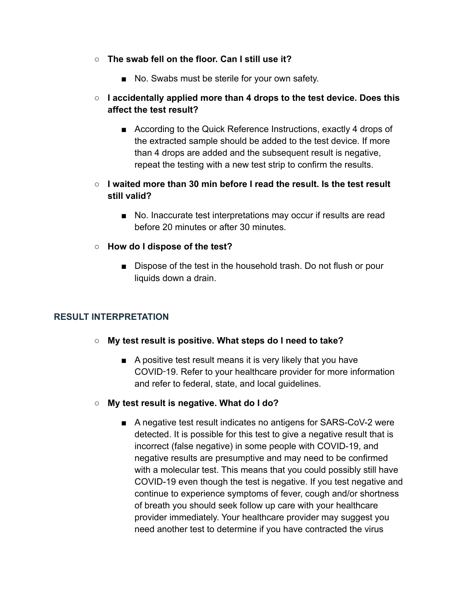- **○ The swab fell on the floor. Can I still use it?**
	- No. Swabs must be sterile for your own safety.
- **○ I accidentally applied more than 4 drops to the test device. Does this affect the test result?**
	- According to the Quick Reference Instructions, exactly 4 drops of the extracted sample should be added to the test device. If more than 4 drops are added and the subsequent result is negative, repeat the testing with a new test strip to confirm the results.
- **○ I waited more than 30 min before I read the result. Is the test result still valid?**
	- No. Inaccurate test interpretations may occur if results are read before 20 minutes or after 30 minutes.
- **○ How do I dispose of the test?**
	- Dispose of the test in the household trash. Do not flush or pour liquids down a drain.

## **RESULT INTERPRETATION**

- **○ My test result is positive. What steps do I need to take?**
	- A positive test result means it is very likely that you have COVID‑19. Refer to your healthcare provider for more information and refer to federal, state, and local guidelines.
- **○ My test result is negative. What do I do?**
	- A negative test result indicates no antigens for SARS-CoV-2 were detected. It is possible for this test to give a negative result that is incorrect (false negative) in some people with COVID-19, and negative results are presumptive and may need to be confirmed with a molecular test. This means that you could possibly still have COVID-19 even though the test is negative. If you test negative and continue to experience symptoms of fever, cough and/or shortness of breath you should seek follow up care with your healthcare provider immediately. Your healthcare provider may suggest you need another test to determine if you have contracted the virus